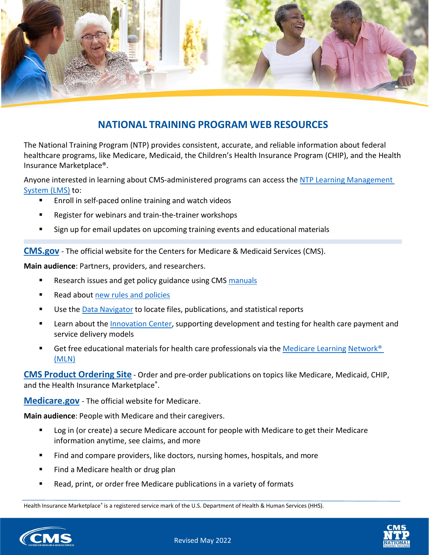

## **NATIONAL TRAINING PROGRAM WEB RESOURCES**

The National Training Program (NTP) provides consistent, accurate, and reliable information about federal healthcare programs, like Medicare, Medicaid, the Children's Health Insurance Program (CHIP), and the Health Insurance Marketplace®.

Anyone interested in learning about CMS-administered programs can access the NTP Learning Management [System \(LMS\)](https://cmsnationaltrainingprogram.cms.gov/) to:

- Enroll in self-paced online training and watch videos
- Register for webinars and train-the-trainer workshops
- Sign up for email updates on upcoming training events and educational materials

**[CMS.gov](https://www.cms.gov/)** - The official website for the Centers for Medicare & Medicaid Services (CMS).

**Main audience**: Partners, providers, and researchers.

- Research issues and get policy guidance using CMS [manuals](https://www.cms.gov/Regulations-and-Guidance/Guidance/Manuals/index)
- Read about new rules and [policies](https://www.cms.gov/regulations-and-guidance/regulations-and-guidance)
- Use the Data [Navigator](https://dnav.cms.gov/) to locate files, publications, and statistical reports
- **EXTER 1.5 Fearn about the [Innovation](https://innovation.cms.gov/) Center, supporting development and testing for health care payment and** service delivery models
- Get free educational materials for health care professionals via the [Medicare](https://www.cms.gov/Outreach-and-Education/Medicare-Learning-Network-MLN/MLNGenInfo/Index) Learning [Network®](https://www.cms.gov/Outreach-and-Education/Medicare-Learning-Network-MLN/MLNGenInfo/Index)  [\(MLN\)](https://www.cms.gov/Outreach-and-Education/Medicare-Learning-Network-MLN/MLNGenInfo/Index)

**CMS Product [Ordering](https://productordering.cms.hhs.gov/pow/?id=pow_login) Site** - Order and pre-order publications on topics like Medicare, Medicaid, CHIP, and the Health Insurance Marketplace®.

**[Medicare.gov](https://www.medicare.gov/)** - The official website for Medicare.

**Main audience**: People with Medicare and their caregivers.

- **Log in (or create) a secure Medicare account for people with Medicare to get their Medicare** information anytime, see claims, and more
- Find and compare providers, like doctors, nursing homes, hospitals, and more
- Find a Medicare health or drug plan
- Read, print, or order free Medicare publications in a variety of formats

Health Insurance Marketplace® is a registered service mark of the U.S. Department of Health & Human Services (HHS).



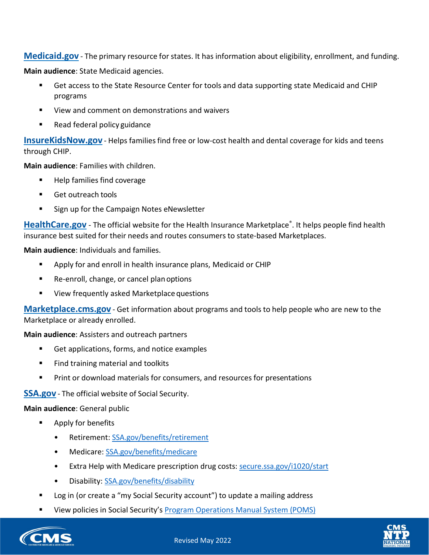**[Medicaid.gov](https://www.medicaid.gov/)** - The primary resource for states. It has information about eligibility, enrollment, and funding.

**Main audience**: State Medicaid agencies.

- Get access to the State Resource Center for tools and data supporting state Medicaid and CHIP programs
- View and comment on demonstrations and waivers
- Read federal policy guidance

**[InsureKidsNow.gov](https://www.insurekidsnow.gov/)** - Helps families find free or low-cost health and dental coverage for kids and teens through CHIP.

**Main audience**: Families with children.

- Help families find coverage
- Get outreach tools
- **Sign up for the Campaign Notes eNewsletter**

**[HealthCare.gov](https://www.healthcare.gov/)** - The official website for the Health Insurance Marketplace®. It helps people find health insurance best suited for their needs and routes consumers to state-based Marketplaces.

**Main audience**: Individuals and families.

- Apply for and enroll in health insurance plans, Medicaid or CHIP
- Re-enroll, change, or cancel plan options
- **URIGA** View frequently asked Marketplace questions

**[Marketplace.cms.gov](https://marketplace.cms.gov/)** - Get information about programs and tools to help people who are new to the Marketplace or already enrolled.

**Main audience**: Assisters and outreach partners

- Get applications, forms, and notice examples
- **Find training material and toolkits**
- Print or download materials for consumers, and resources for presentations

**[SSA.gov](https://www.ssa.gov/)** - The official website of Social Security.

**Main audience**: General public

- Apply for benefits
	- Retirement: [SSA.gov/benefits/retirement](https://www.ssa.gov/benefits/retirement/)
	- [Medicare: SSA.gov/benefits/medicare](https://www.ssa.gov/benefits/medicare/)
	- Extra Help with Medicare prescription drug costs: [secure.ssa.gov/i1020/start](https://secure.ssa.gov/i1020/start)
	- Disability: [SSA.gov/benefits/disability](https://www.ssa.gov/benefits/disability/)
- Log in (or create a "my Social Security account") to update a mailing address
- View policies in Social Security's Program [Operations](https://secure.ssa.gov/apps10/) Manual System (POMS)